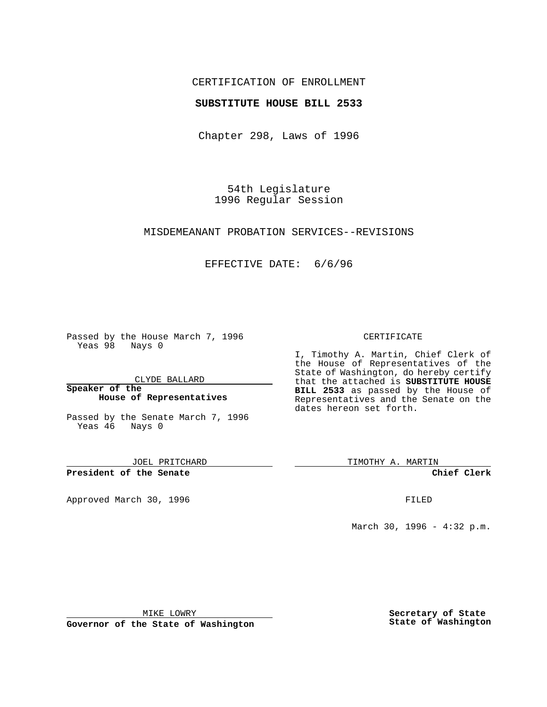## CERTIFICATION OF ENROLLMENT

### **SUBSTITUTE HOUSE BILL 2533**

Chapter 298, Laws of 1996

54th Legislature 1996 Regular Session

#### MISDEMEANANT PROBATION SERVICES--REVISIONS

## EFFECTIVE DATE: 6/6/96

Passed by the House March 7, 1996 Yeas 98 Nays 0

CLYDE BALLARD

**Speaker of the House of Representatives**

Passed by the Senate March 7, 1996 Yeas 46 Nays 0

JOEL PRITCHARD

**President of the Senate**

Approved March 30, 1996 FILED

#### CERTIFICATE

I, Timothy A. Martin, Chief Clerk of the House of Representatives of the State of Washington, do hereby certify that the attached is **SUBSTITUTE HOUSE BILL 2533** as passed by the House of Representatives and the Senate on the dates hereon set forth.

TIMOTHY A. MARTIN

**Chief Clerk**

March 30, 1996 - 4:32 p.m.

MIKE LOWRY

**Governor of the State of Washington**

**Secretary of State State of Washington**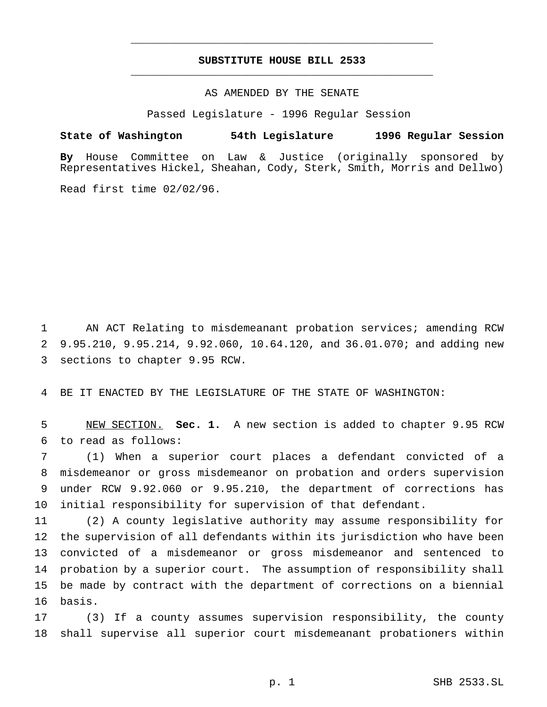# **SUBSTITUTE HOUSE BILL 2533** \_\_\_\_\_\_\_\_\_\_\_\_\_\_\_\_\_\_\_\_\_\_\_\_\_\_\_\_\_\_\_\_\_\_\_\_\_\_\_\_\_\_\_\_\_\_\_

\_\_\_\_\_\_\_\_\_\_\_\_\_\_\_\_\_\_\_\_\_\_\_\_\_\_\_\_\_\_\_\_\_\_\_\_\_\_\_\_\_\_\_\_\_\_\_

### AS AMENDED BY THE SENATE

Passed Legislature - 1996 Regular Session

#### **State of Washington 54th Legislature 1996 Regular Session**

**By** House Committee on Law & Justice (originally sponsored by Representatives Hickel, Sheahan, Cody, Sterk, Smith, Morris and Dellwo)

Read first time 02/02/96.

 AN ACT Relating to misdemeanant probation services; amending RCW 9.95.210, 9.95.214, 9.92.060, 10.64.120, and 36.01.070; and adding new sections to chapter 9.95 RCW.

BE IT ENACTED BY THE LEGISLATURE OF THE STATE OF WASHINGTON:

 NEW SECTION. **Sec. 1.** A new section is added to chapter 9.95 RCW to read as follows:

 (1) When a superior court places a defendant convicted of a misdemeanor or gross misdemeanor on probation and orders supervision under RCW 9.92.060 or 9.95.210, the department of corrections has initial responsibility for supervision of that defendant.

 (2) A county legislative authority may assume responsibility for the supervision of all defendants within its jurisdiction who have been convicted of a misdemeanor or gross misdemeanor and sentenced to probation by a superior court. The assumption of responsibility shall be made by contract with the department of corrections on a biennial basis.

 (3) If a county assumes supervision responsibility, the county shall supervise all superior court misdemeanant probationers within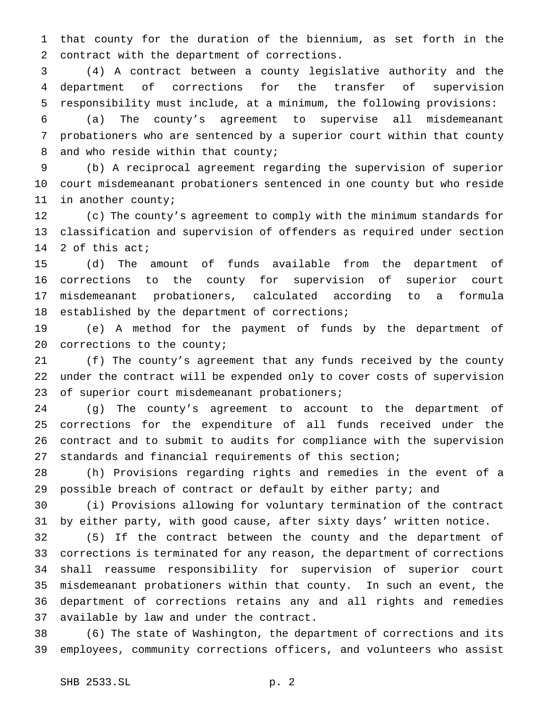that county for the duration of the biennium, as set forth in the contract with the department of corrections.

 (4) A contract between a county legislative authority and the department of corrections for the transfer of supervision responsibility must include, at a minimum, the following provisions:

 (a) The county's agreement to supervise all misdemeanant probationers who are sentenced by a superior court within that county 8 and who reside within that county;

 (b) A reciprocal agreement regarding the supervision of superior court misdemeanant probationers sentenced in one county but who reside in another county;

 (c) The county's agreement to comply with the minimum standards for classification and supervision of offenders as required under section 2 of this act;

 (d) The amount of funds available from the department of corrections to the county for supervision of superior court misdemeanant probationers, calculated according to a formula established by the department of corrections;

 (e) A method for the payment of funds by the department of 20 corrections to the county;

 (f) The county's agreement that any funds received by the county under the contract will be expended only to cover costs of supervision of superior court misdemeanant probationers;

 (g) The county's agreement to account to the department of corrections for the expenditure of all funds received under the contract and to submit to audits for compliance with the supervision standards and financial requirements of this section;

 (h) Provisions regarding rights and remedies in the event of a possible breach of contract or default by either party; and

 (i) Provisions allowing for voluntary termination of the contract by either party, with good cause, after sixty days' written notice.

 (5) If the contract between the county and the department of corrections is terminated for any reason, the department of corrections shall reassume responsibility for supervision of superior court misdemeanant probationers within that county. In such an event, the department of corrections retains any and all rights and remedies available by law and under the contract.

 (6) The state of Washington, the department of corrections and its employees, community corrections officers, and volunteers who assist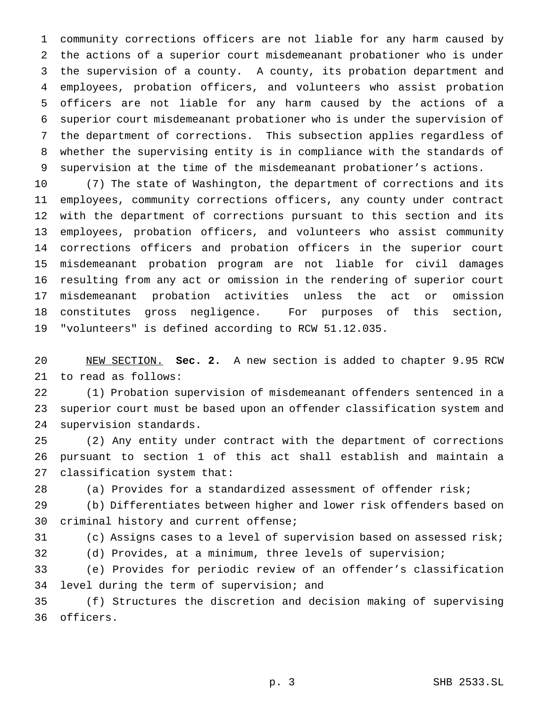community corrections officers are not liable for any harm caused by the actions of a superior court misdemeanant probationer who is under the supervision of a county. A county, its probation department and employees, probation officers, and volunteers who assist probation officers are not liable for any harm caused by the actions of a superior court misdemeanant probationer who is under the supervision of the department of corrections. This subsection applies regardless of whether the supervising entity is in compliance with the standards of supervision at the time of the misdemeanant probationer's actions.

 (7) The state of Washington, the department of corrections and its employees, community corrections officers, any county under contract with the department of corrections pursuant to this section and its employees, probation officers, and volunteers who assist community corrections officers and probation officers in the superior court misdemeanant probation program are not liable for civil damages resulting from any act or omission in the rendering of superior court misdemeanant probation activities unless the act or omission constitutes gross negligence. For purposes of this section, "volunteers" is defined according to RCW 51.12.035.

 NEW SECTION. **Sec. 2.** A new section is added to chapter 9.95 RCW to read as follows:

 (1) Probation supervision of misdemeanant offenders sentenced in a superior court must be based upon an offender classification system and supervision standards.

 (2) Any entity under contract with the department of corrections pursuant to section 1 of this act shall establish and maintain a classification system that:

(a) Provides for a standardized assessment of offender risk;

 (b) Differentiates between higher and lower risk offenders based on criminal history and current offense;

(c) Assigns cases to a level of supervision based on assessed risk;

(d) Provides, at a minimum, three levels of supervision;

 (e) Provides for periodic review of an offender's classification level during the term of supervision; and

 (f) Structures the discretion and decision making of supervising officers.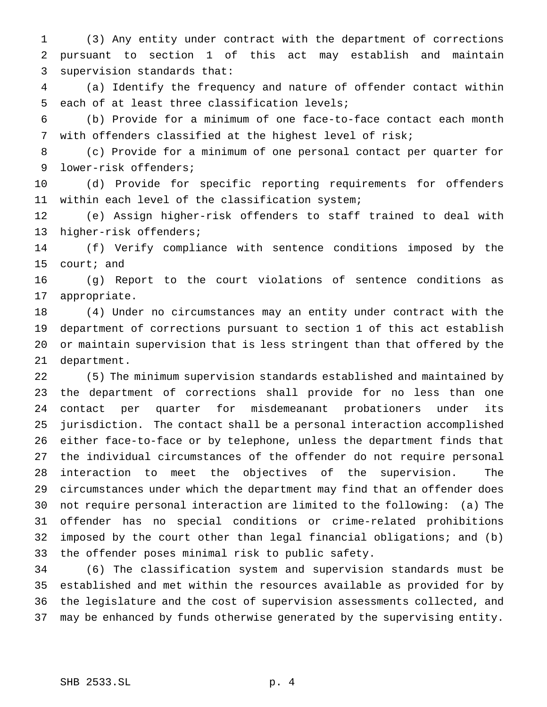(3) Any entity under contract with the department of corrections pursuant to section 1 of this act may establish and maintain supervision standards that:

 (a) Identify the frequency and nature of offender contact within each of at least three classification levels;

 (b) Provide for a minimum of one face-to-face contact each month with offenders classified at the highest level of risk;

 (c) Provide for a minimum of one personal contact per quarter for lower-risk offenders;

 (d) Provide for specific reporting requirements for offenders within each level of the classification system;

 (e) Assign higher-risk offenders to staff trained to deal with higher-risk offenders;

 (f) Verify compliance with sentence conditions imposed by the court; and

 (g) Report to the court violations of sentence conditions as appropriate.

 (4) Under no circumstances may an entity under contract with the department of corrections pursuant to section 1 of this act establish or maintain supervision that is less stringent than that offered by the department.

 (5) The minimum supervision standards established and maintained by the department of corrections shall provide for no less than one contact per quarter for misdemeanant probationers under its jurisdiction. The contact shall be a personal interaction accomplished either face-to-face or by telephone, unless the department finds that the individual circumstances of the offender do not require personal interaction to meet the objectives of the supervision. The circumstances under which the department may find that an offender does not require personal interaction are limited to the following: (a) The offender has no special conditions or crime-related prohibitions imposed by the court other than legal financial obligations; and (b) the offender poses minimal risk to public safety.

 (6) The classification system and supervision standards must be established and met within the resources available as provided for by the legislature and the cost of supervision assessments collected, and may be enhanced by funds otherwise generated by the supervising entity.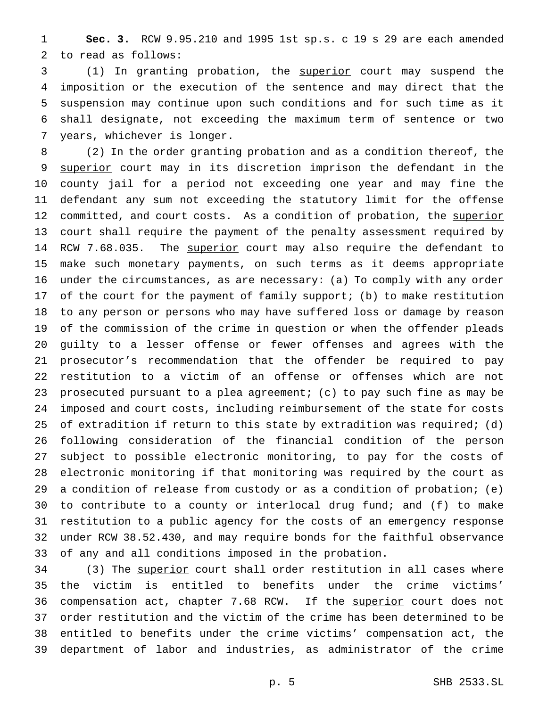**Sec. 3.** RCW 9.95.210 and 1995 1st sp.s. c 19 s 29 are each amended to read as follows:

 (1) In granting probation, the superior court may suspend the imposition or the execution of the sentence and may direct that the suspension may continue upon such conditions and for such time as it shall designate, not exceeding the maximum term of sentence or two years, whichever is longer.

 (2) In the order granting probation and as a condition thereof, the superior court may in its discretion imprison the defendant in the county jail for a period not exceeding one year and may fine the defendant any sum not exceeding the statutory limit for the offense 12 committed, and court costs. As a condition of probation, the superior court shall require the payment of the penalty assessment required by 14 RCW 7.68.035. The superior court may also require the defendant to make such monetary payments, on such terms as it deems appropriate under the circumstances, as are necessary: (a) To comply with any order of the court for the payment of family support; (b) to make restitution to any person or persons who may have suffered loss or damage by reason of the commission of the crime in question or when the offender pleads guilty to a lesser offense or fewer offenses and agrees with the prosecutor's recommendation that the offender be required to pay restitution to a victim of an offense or offenses which are not prosecuted pursuant to a plea agreement; (c) to pay such fine as may be imposed and court costs, including reimbursement of the state for costs of extradition if return to this state by extradition was required; (d) following consideration of the financial condition of the person subject to possible electronic monitoring, to pay for the costs of electronic monitoring if that monitoring was required by the court as a condition of release from custody or as a condition of probation; (e) to contribute to a county or interlocal drug fund; and (f) to make restitution to a public agency for the costs of an emergency response under RCW 38.52.430, and may require bonds for the faithful observance of any and all conditions imposed in the probation.

34 (3) The superior court shall order restitution in all cases where the victim is entitled to benefits under the crime victims' 36 compensation act, chapter 7.68 RCW. If the superior court does not order restitution and the victim of the crime has been determined to be entitled to benefits under the crime victims' compensation act, the department of labor and industries, as administrator of the crime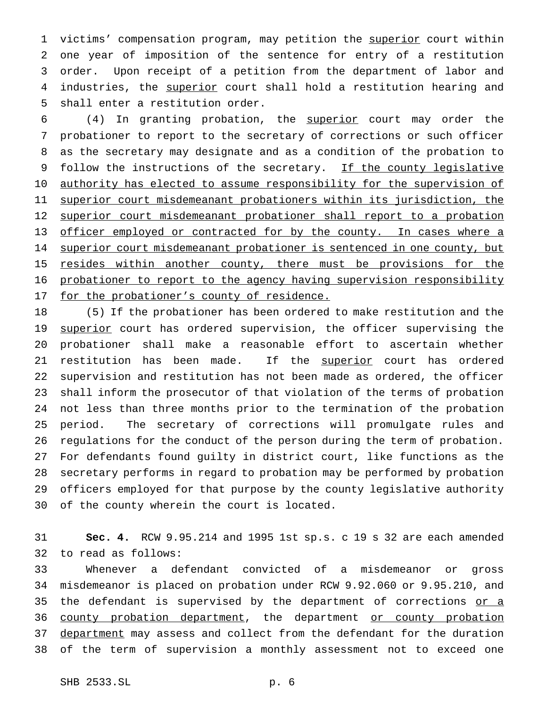1 victims' compensation program, may petition the superior court within one year of imposition of the sentence for entry of a restitution order. Upon receipt of a petition from the department of labor and 4 industries, the superior court shall hold a restitution hearing and shall enter a restitution order.

 (4) In granting probation, the superior court may order the probationer to report to the secretary of corrections or such officer as the secretary may designate and as a condition of the probation to 9 follow the instructions of the secretary. If the county legislative 10 authority has elected to assume responsibility for the supervision of superior court misdemeanant probationers within its jurisdiction, the superior court misdemeanant probationer shall report to a probation 13 officer employed or contracted for by the county. In cases where a 14 superior court misdemeanant probationer is sentenced in one county, but 15 resides within another county, there must be provisions for the probationer to report to the agency having supervision responsibility 17 for the probationer's county of residence.

 (5) If the probationer has been ordered to make restitution and the 19 superior court has ordered supervision, the officer supervising the probationer shall make a reasonable effort to ascertain whether 21 restitution has been made. If the superior court has ordered supervision and restitution has not been made as ordered, the officer shall inform the prosecutor of that violation of the terms of probation not less than three months prior to the termination of the probation period. The secretary of corrections will promulgate rules and regulations for the conduct of the person during the term of probation. For defendants found guilty in district court, like functions as the secretary performs in regard to probation may be performed by probation officers employed for that purpose by the county legislative authority of the county wherein the court is located.

 **Sec. 4.** RCW 9.95.214 and 1995 1st sp.s. c 19 s 32 are each amended to read as follows:

 Whenever a defendant convicted of a misdemeanor or gross misdemeanor is placed on probation under RCW 9.92.060 or 9.95.210, and 35 the defendant is supervised by the department of corrections or a 36 county probation department, the department or county probation 37 department may assess and collect from the defendant for the duration of the term of supervision a monthly assessment not to exceed one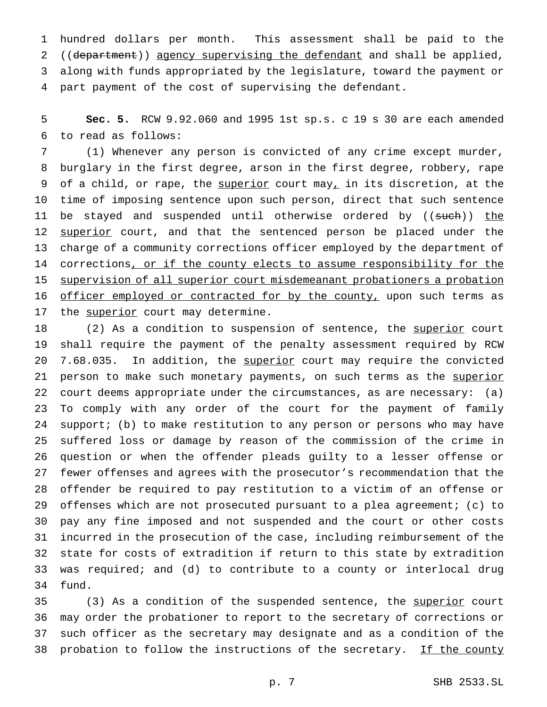hundred dollars per month. This assessment shall be paid to the 2 ((department)) agency supervising the defendant and shall be applied, along with funds appropriated by the legislature, toward the payment or part payment of the cost of supervising the defendant.

 **Sec. 5.** RCW 9.92.060 and 1995 1st sp.s. c 19 s 30 are each amended to read as follows:

 (1) Whenever any person is convicted of any crime except murder, burglary in the first degree, arson in the first degree, robbery, rape 9 of a child, or rape, the superior court may<sub> $l$ </sub> in its discretion, at the time of imposing sentence upon such person, direct that such sentence 11 be stayed and suspended until otherwise ordered by ((such)) the 12 superior court, and that the sentenced person be placed under the charge of a community corrections officer employed by the department of 14 corrections, or if the county elects to assume responsibility for the supervision of all superior court misdemeanant probationers a probation 16 officer employed or contracted for by the county, upon such terms as 17 the superior court may determine.

18 (2) As a condition to suspension of sentence, the superior court shall require the payment of the penalty assessment required by RCW 20 7.68.035. In addition, the superior court may require the convicted 21 person to make such monetary payments, on such terms as the superior court deems appropriate under the circumstances, as are necessary: (a) To comply with any order of the court for the payment of family support; (b) to make restitution to any person or persons who may have suffered loss or damage by reason of the commission of the crime in question or when the offender pleads guilty to a lesser offense or fewer offenses and agrees with the prosecutor's recommendation that the offender be required to pay restitution to a victim of an offense or offenses which are not prosecuted pursuant to a plea agreement; (c) to pay any fine imposed and not suspended and the court or other costs incurred in the prosecution of the case, including reimbursement of the state for costs of extradition if return to this state by extradition was required; and (d) to contribute to a county or interlocal drug fund.

35 (3) As a condition of the suspended sentence, the superior court may order the probationer to report to the secretary of corrections or such officer as the secretary may designate and as a condition of the 38 probation to follow the instructions of the secretary. If the county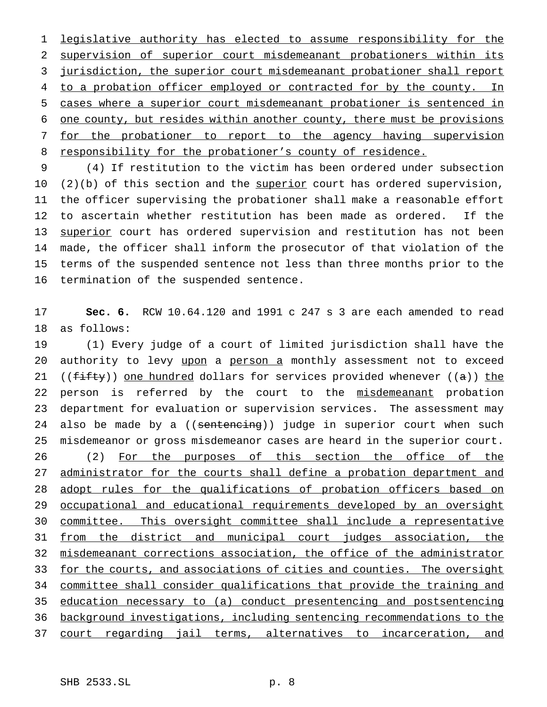legislative authority has elected to assume responsibility for the supervision of superior court misdemeanant probationers within its jurisdiction, the superior court misdemeanant probationer shall report 4 to a probation officer employed or contracted for by the county. In cases where a superior court misdemeanant probationer is sentenced in one county, but resides within another county, there must be provisions for the probationer to report to the agency having supervision 8 responsibility for the probationer's county of residence.

 (4) If restitution to the victim has been ordered under subsection 10 (2)(b) of this section and the superior court has ordered supervision, the officer supervising the probationer shall make a reasonable effort to ascertain whether restitution has been made as ordered. If the 13 superior court has ordered supervision and restitution has not been made, the officer shall inform the prosecutor of that violation of the terms of the suspended sentence not less than three months prior to the termination of the suspended sentence.

 **Sec. 6.** RCW 10.64.120 and 1991 c 247 s 3 are each amended to read as follows:

 (1) Every judge of a court of limited jurisdiction shall have the 20 authority to levy upon a person a monthly assessment not to exceed 21 (( $f$ ifty)) one hundred dollars for services provided whenever ( $(a)$ ) the 22 person is referred by the court to the misdemeanant probation department for evaluation or supervision services. The assessment may 24 also be made by a ((sentencing)) judge in superior court when such misdemeanor or gross misdemeanor cases are heard in the superior court. 26 (2) For the purposes of this section the office of the administrator for the courts shall define a probation department and 28 adopt rules for the qualifications of probation officers based on occupational and educational requirements developed by an oversight committee. This oversight committee shall include a representative from the district and municipal court judges association, the misdemeanant corrections association, the office of the administrator 33 for the courts, and associations of cities and counties. The oversight committee shall consider qualifications that provide the training and education necessary to (a) conduct presentencing and postsentencing background investigations, including sentencing recommendations to the court regarding jail terms, alternatives to incarceration, and